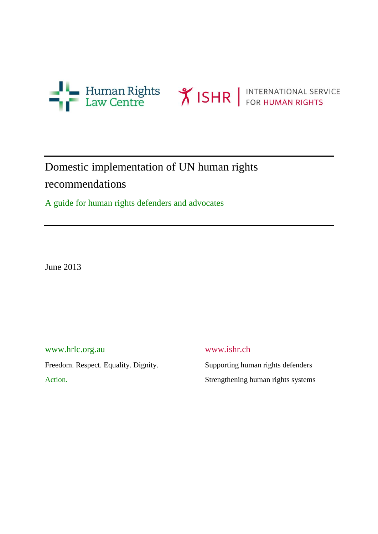



# Domestic implementation of UN human rights recommendations

A guide for human rights defenders and advocates

June 2013

[www.hrlc.org.au](http://www.hrlc.org.au/) www.ishr.ch Freedom. Respect. Equality. Dignity. Supporting human rights defenders

Action. Strengthening human rights systems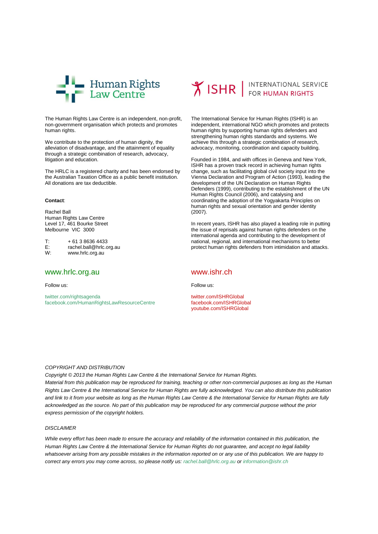

The Human Rights Law Centre is an independent, non-profit, non-government organisation which protects and promotes human rights.

We contribute to the protection of human dignity, the alleviation of disadvantage, and the attainment of equality through a strategic combination of research, advocacy, litigation and education.

The HRLC is a registered charity and has been endorsed by the Australian Taxation Office as a public benefit institution. All donations are tax deductible.

#### **Contact**:

Rachel Ball Human Rights Law Centre Level 17, 461 Bourke Street Melbourne VIC 3000

 $T: + 61386364433$ <br>E: rachel.ball@hrlc.c E: rachel.ball@hrlc.org.au<br>W: www.hrlc.org.au [www.hrlc.org.au](http://www.hrlc.org.au/)

#### www.hrlc.org.au

Follow us:

[twitter.com/rightsagenda](http://www.twitter.com/rightsagenda) [facebook.com/HumanRightsLawResourceCentre](http://www.facebook.com/HumanRightsLawResourceCentre)

# **Y ISHR** FOR HUMAN RIGHTS

The International Service for Human Rights (ISHR) is an independent, international NGO which promotes and protects human rights by supporting human rights defenders and strengthening human rights standards and systems. We achieve this through a strategic combination of research, advocacy, monitoring, coordination and capacity building.

Founded in 1984, and with offices in Geneva and New York, ISHR has a proven track record in achieving human rights change, such as facilitating global civil society input into the Vienna Declaration and Program of Action (1993), leading the development of the UN Declaration on Human Rights Defenders (1999), contributing to the establishment of the UN Human Rights Council (2006), and catalysing and coordinating the adoption of the Yogyakarta Principles on human rights and sexual orientation and gender identity (2007).

In recent years, ISHR has also played a leading role in putting the issue of reprisals against human rights defenders on the international agenda and contributing to the development of national, regional, and international mechanisms to better protect human rights defenders from intimidation and attacks.

#### www.ishr.ch

Follow us:

[twitter.com/ISHRGlobal](http://www.twitter.com/ISHRGlobal) [facebook.com/ISHRGlobal](http://www.facebook.com/ISHRGlobal) [youtube.com/ISHRGlobal](http://www.youtube.com/ISHRGlobal)

#### *COPYRIGHT AND DISTRIBUTION*

*Copyright © 2013 the Human Rights Law Centre & the International Service for Human Rights.*

*Material from this publication may be reproduced for training, teaching or other non-commercial purposes as long as the Human Rights Law Centre & the International Service for Human Rights are fully acknowledged. You can also distribute this publication and link to it from your website as long as the Human Rights Law Centre & the International Service for Human Rights are fully acknowledged as the source. No part of this publication may be reproduced for any commercial purpose without the prior express permission of the copyright holders.*

#### *DISCLAIMER*

*While every effort has been made to ensure the accuracy and reliability of the information contained in this publication, the Human Rights Law Centre & the International Service for Human Rights do not guarantee, and accept no legal liability whatsoever arising from any possible mistakes in the information reported on or any use of this publication. We are happy to correct any errors you may come across, so please notify us: [rachel.ball@hrlc.org.au](mailto:rachel.ball@hrlc.org.au) or [information@ishr.ch](mailto:information@ishr.ch)*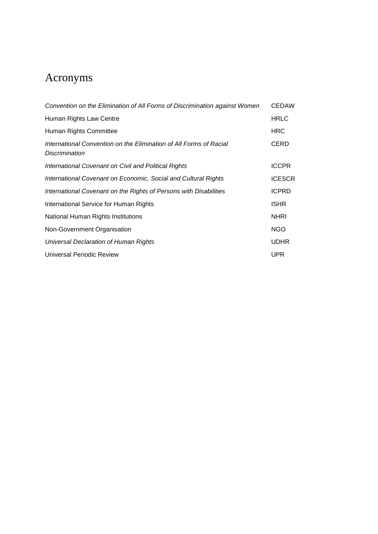# Acronyms

| Convention on the Elimination of All Forms of Discrimination against Women           |               |  |
|--------------------------------------------------------------------------------------|---------------|--|
| Human Rights Law Centre                                                              |               |  |
| Human Rights Committee                                                               | <b>HRC</b>    |  |
| International Convention on the Elimination of All Forms of Racial<br>Discrimination | CERD          |  |
| <b>International Covenant on Civil and Political Rights</b>                          | <b>ICCPR</b>  |  |
| International Covenant on Economic, Social and Cultural Rights                       | <b>ICESCR</b> |  |
| International Covenant on the Rights of Persons with Disabilities                    | <b>ICPRD</b>  |  |
| International Service for Human Rights                                               |               |  |
| National Human Rights Institutions                                                   |               |  |
| Non-Government Organisation                                                          | <b>NGO</b>    |  |
| Universal Declaration of Human Rights                                                | <b>UDHR</b>   |  |
| Universal Periodic Review                                                            | <b>UPR</b>    |  |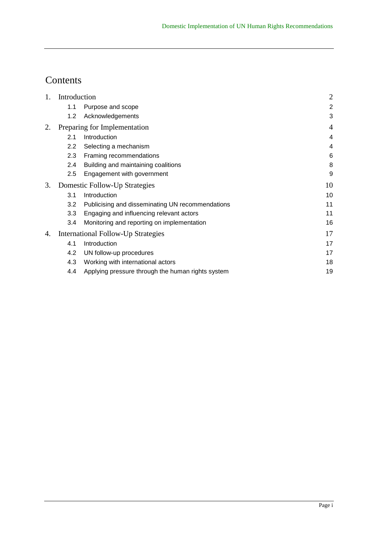# Contents

| 1. | Introduction |                                                   | $\overline{2}$ |
|----|--------------|---------------------------------------------------|----------------|
|    | 1.1          | Purpose and scope                                 | $\overline{2}$ |
|    | 1.2          | Acknowledgements                                  | 3              |
| 2. |              | Preparing for Implementation                      | $\overline{4}$ |
|    | 2.1          | Introduction                                      | $\overline{4}$ |
|    | $2.2\,$      | Selecting a mechanism                             | 4              |
|    | 2.3          | Framing recommendations                           | 6              |
|    | 2.4          | Building and maintaining coalitions               | 8              |
|    | 2.5          | Engagement with government                        | 9              |
| 3. |              | Domestic Follow-Up Strategies                     | 10             |
|    | 3.1          | Introduction                                      | 10             |
|    | 3.2          | Publicising and disseminating UN recommendations  | 11             |
|    | 3.3          | Engaging and influencing relevant actors          | 11             |
|    | 3.4          | Monitoring and reporting on implementation        | 16             |
| 4. |              | International Follow-Up Strategies                | 17             |
|    | 4.1          | Introduction                                      | 17             |
|    | 4.2          | UN follow-up procedures                           | 17             |
|    | 4.3          | Working with international actors                 | 18             |
|    | 4.4          | Applying pressure through the human rights system | 19             |
|    |              |                                                   |                |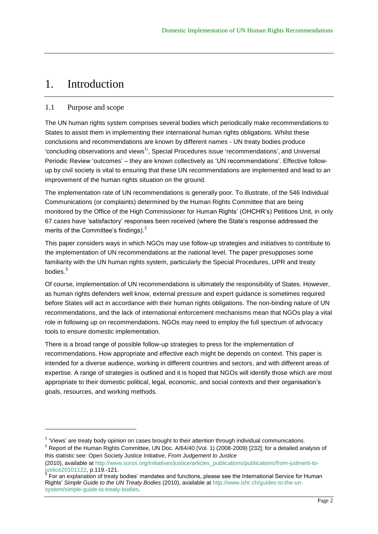### 1. Introduction

#### 1.1 Purpose and scope

l

The UN human rights system comprises several bodies which periodically make recommendations to States to assist them in implementing their international human rights obligations. Whilst these conclusions and recommendations are known by different names - UN treaty bodies produce 'concluding observations and views<sup>1</sup>', Special Procedures issue 'recommendations', and Universal Periodic Review 'outcomes' – they are known collectively as 'UN recommendations'. Effective followup by civil society is vital to ensuring that these UN recommendations are implemented and lead to an improvement of the human rights situation on the ground.

The implementation rate of UN recommendations is generally poor. To illustrate, of the 546 Individual Communications (or complaints) determined by the Human Rights Committee that are being monitored by the Office of the High Commissioner for Human Rights' (OHCHR's) Petitions Unit, in only 67 cases have ‗satisfactory' responses been received (where the State's response addressed the merits of the Committee's findings).<sup>2</sup>

This paper considers ways in which NGOs may use follow-up strategies and initiatives to contribute to the implementation of UN recommendations at the national level. The paper presupposes some familiarity with the UN human rights system, particularly the Special Procedures, UPR and treaty bodies.<sup>3</sup>

Of course, implementation of UN recommendations is ultimately the responsibility of States. However, as human rights defenders well know, external pressure and expert guidance is sometimes required before States will act in accordance with their human rights obligations. The non-binding nature of UN recommendations, and the lack of international enforcement mechanisms mean that NGOs play a vital role in following up on recommendations. NGOs may need to employ the full spectrum of advocacy tools to ensure domestic implementation.

There is a broad range of possible follow-up strategies to press for the implementation of recommendations. How appropriate and effective each might be depends on context. This paper is intended for a diverse audience, working in different countries and sectors, and with different areas of expertise. A range of strategies is outlined and it is hoped that NGOs will identify those which are most appropriate to their domestic political, legal, economic, and social contexts and their organisation's goals, resources, and working methods.

<sup>2</sup> Report of the Human Rights Committee, UN Doc. A/64/40 (Vol. 1) (2008-2009) [232]; for a detailed analysis of this statistic see: Open Society Justice Initiative, *From Judgement to Justice*

<sup>&</sup>lt;sup>1</sup> 'Views' are treaty body opinion on cases brought to their attention through individual communications.

<sup>(2010),</sup> available at [http://www.soros.org/initiatives/justice/articles\\_publications/publications/from-judment-to](http://www.soros.org/initiatives/justice/articles_publications/publications/from-judment-to-justice20101122)[justice20101122,](http://www.soros.org/initiatives/justice/articles_publications/publications/from-judment-to-justice20101122) p.119.-121.<br><sup>3</sup> For an explanation of treaty bodies' mandates and functions, please see the International Service for Human

Rights' *Simple Guide to the UN Treaty Bodies* (2010), available at [http://www.ishr.ch/guides-to-the-un](http://www.ishr.ch/guides-to-the-un-system/simple-guide-to-treaty-bodies)[system/simple-guide-to-treaty-bodies.](http://www.ishr.ch/guides-to-the-un-system/simple-guide-to-treaty-bodies)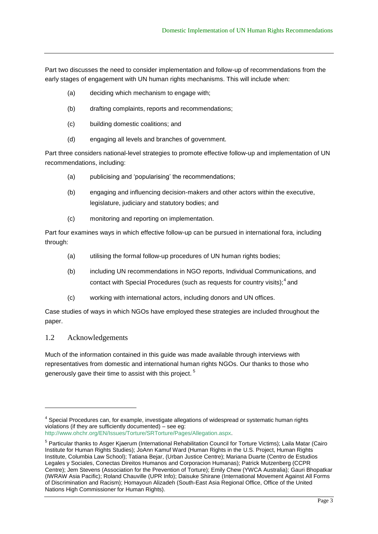Part two discusses the need to consider implementation and follow-up of recommendations from the early stages of engagement with UN human rights mechanisms. This will include when:

- (a) deciding which mechanism to engage with;
- (b) drafting complaints, reports and recommendations;
- (c) building domestic coalitions; and
- (d) engaging all levels and branches of government.

Part three considers national-level strategies to promote effective follow-up and implementation of UN recommendations, including:

- (a) publicising and 'popularising' the recommendations;
- (b) engaging and influencing decision-makers and other actors within the executive, legislature, judiciary and statutory bodies; and
- (c) monitoring and reporting on implementation.

Part four examines ways in which effective follow-up can be pursued in international fora, including through:

- (a) utilising the formal follow-up procedures of UN human rights bodies;
- (b) including UN recommendations in NGO reports, Individual Communications, and contact with Special Procedures (such as requests for country visits); $4$  and
- (c) working with international actors, including donors and UN offices.

Case studies of ways in which NGOs have employed these strategies are included throughout the paper.

#### 1.2 Acknowledgements

l

Much of the information contained in this guide was made available through interviews with representatives from domestic and international human rights NGOs. Our thanks to those who generously gave their time to assist with this project.<sup>5</sup>

<sup>&</sup>lt;sup>4</sup> Special Procedures can, for example, investigate allegations of widespread or systematic human rights violations (if they are sufficiently documented) – see eg:

[http://www.ohchr.org/EN/Issues/Torture/SRTorture/Pages/Allegation.aspx.](http://www.ohchr.org/EN/Issues/Torture/SRTorture/Pages/Allegation.aspx)

<sup>&</sup>lt;sup>5</sup> Particular thanks to Asger Kjaerum (International Rehabilitation Council for Torture Victims); Laila Matar (Cairo Institute for Human Rights Studies); JoAnn Kamuf Ward (Human Rights in the U.S. Project, Human Rights Institute, Columbia Law School); Tatiana Bejar, (Urban Justice Centre); Mariana Duarte (Centro de Estudios Legales y Sociales, Conectas Direitos Humanos and Corporacion Humanas); Patrick Mutzenberg (CCPR Centre); Jem Stevens (Association for the Prevention of Torture); Emily Chew (YWCA Australia); Gauri Bhopatkar (IWRAW Asia Pacific); Roland Chauville (UPR Info); Daisuke Shirane (International Movement Against All Forms of Discrimination and Racism); Homayoun Alizadeh (South-East Asia Regional Office, Office of the United Nations High Commissioner for Human Rights).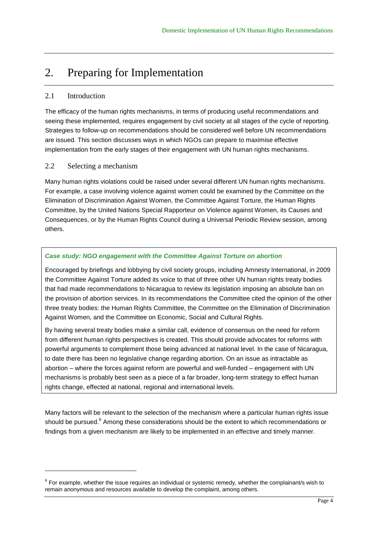### 2. Preparing for Implementation

#### 2.1 Introduction

l

The efficacy of the human rights mechanisms, in terms of producing useful recommendations and seeing these implemented, requires engagement by civil society at all stages of the cycle of reporting. Strategies to follow-up on recommendations should be considered well before UN recommendations are issued. This section discusses ways in which NGOs can prepare to maximise effective implementation from the early stages of their engagement with UN human rights mechanisms.

#### 2.2 Selecting a mechanism

Many human rights violations could be raised under several different UN human rights mechanisms. For example, a case involving violence against women could be examined by the Committee on the Elimination of Discrimination Against Women, the Committee Against Torture, the Human Rights Committee, by the United Nations Special Rapporteur on Violence against Women, its Causes and Consequences, or by the Human Rights Council during a Universal Periodic Review session, among others.

#### *Case study: NGO engagement with the Committee Against Torture on abortion*

Encouraged by briefings and lobbying by civil society groups, including Amnesty International, in 2009 the Committee Against Torture added its voice to that of three other UN human rights treaty bodies that had made recommendations to Nicaragua to review its legislation imposing an absolute ban on the provision of abortion services. In its recommendations the Committee cited the opinion of the other three treaty bodies: the Human Rights Committee, the Committee on the Elimination of Discrimination Against Women, and the Committee on Economic, Social and Cultural Rights.

By having several treaty bodies make a similar call, evidence of consensus on the need for reform from different human rights perspectives is created. This should provide advocates for reforms with powerful arguments to complement those being advanced at national level. In the case of Nicaragua, to date there has been no legislative change regarding abortion. On an issue as intractable as abortion – where the forces against reform are powerful and well-funded – engagement with UN mechanisms is probably best seen as a piece of a far broader, long-term strategy to effect human rights change, effected at national, regional and international levels.

Many factors will be relevant to the selection of the mechanism where a particular human rights issue should be pursued.<sup>6</sup> Among these considerations should be the extent to which recommendations or findings from a given mechanism are likely to be implemented in an effective and timely manner.

 $^6$  For example, whether the issue requires an individual or systemic remedy, whether the complainant/s wish to remain anonymous and resources available to develop the complaint, among others.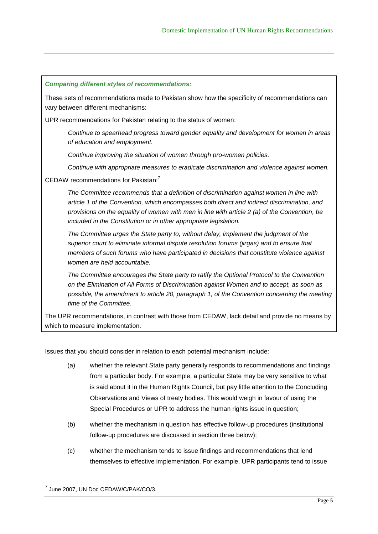#### *Comparing different styles of recommendations:*

These sets of recommendations made to Pakistan show how the specificity of recommendations can vary between different mechanisms:

UPR recommendations for Pakistan relating to the status of women:

*Continue to spearhead progress toward gender equality and development for women in areas of education and employment.*

*Continue improving the situation of women through pro-women policies.*

*Continue with appropriate measures to eradicate discrimination and violence against women.*

#### CEDAW recommendations for Pakistan:<sup>7</sup>

*The Committee recommends that a definition of discrimination against women in line with article 1 of the Convention, which encompasses both direct and indirect discrimination, and provisions on the equality of women with men in line with article 2 (a) of the Convention, be included in the Constitution or in other appropriate legislation.*

*The Committee urges the State party to, without delay, implement the judgment of the superior court to eliminate informal dispute resolution forums (jirgas) and to ensure that members of such forums who have participated in decisions that constitute violence against women are held accountable.*

*The Committee encourages the State party to ratify the Optional Protocol to the Convention on the Elimination of All Forms of Discrimination against Women and to accept, as soon as possible, the amendment to article 20, paragraph 1, of the Convention concerning the meeting time of the Committee.*

The UPR recommendations, in contrast with those from CEDAW, lack detail and provide no means by which to measure implementation.

Issues that you should consider in relation to each potential mechanism include:

- (a) whether the relevant State party generally responds to recommendations and findings from a particular body. For example, a particular State may be very sensitive to what is said about it in the Human Rights Council, but pay little attention to the Concluding Observations and Views of treaty bodies. This would weigh in favour of using the Special Procedures or UPR to address the human rights issue in question;
- (b) whether the mechanism in question has effective follow-up procedures (institutional follow-up procedures are discussed in section three below);
- (c) whether the mechanism tends to issue findings and recommendations that lend themselves to effective implementation. For example, UPR participants tend to issue

<sup>7</sup> June 2007, UN Doc CEDAW/C/PAK/CO/3.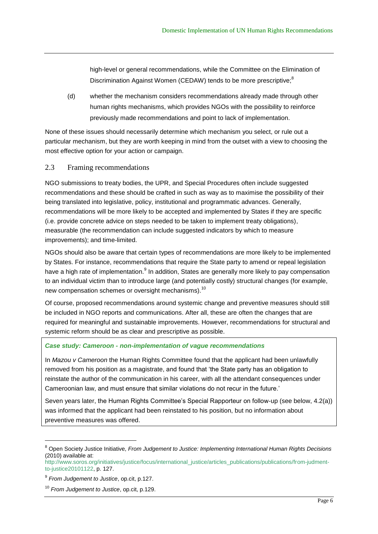high-level or general recommendations, while the Committee on the Elimination of Discrimination Against Women (CEDAW) tends to be more prescriptive;<sup>8</sup>

(d) whether the mechanism considers recommendations already made through other human rights mechanisms, which provides NGOs with the possibility to reinforce previously made recommendations and point to lack of implementation.

None of these issues should necessarily determine which mechanism you select, or rule out a particular mechanism, but they are worth keeping in mind from the outset with a view to choosing the most effective option for your action or campaign.

#### 2.3 Framing recommendations

NGO submissions to treaty bodies, the UPR, and Special Procedures often include suggested recommendations and these should be crafted in such as way as to maximise the possibility of their being translated into legislative, policy, institutional and programmatic advances. Generally, recommendations will be more likely to be accepted and implemented by States if they are specific (i.e. provide concrete advice on steps needed to be taken to implement treaty obligations), measurable (the recommendation can include suggested indicators by which to measure improvements); and time-limited.

NGOs should also be aware that certain types of recommendations are more likely to be implemented by States. For instance, recommendations that require the State party to amend or repeal legislation have a high rate of implementation.<sup>9</sup> In addition, States are generally more likely to pay compensation to an individual victim than to introduce large (and potentially costly) structural changes (for example, new compensation schemes or oversight mechanisms).<sup>10</sup>

Of course, proposed recommendations around systemic change and preventive measures should still be included in NGO reports and communications. After all, these are often the changes that are required for meaningful and sustainable improvements. However, recommendations for structural and systemic reform should be as clear and prescriptive as possible.

#### *Case study: Cameroon - non-implementation of vague recommendations*

In *Mazou v Cameroon* the Human Rights Committee found that the applicant had been unlawfully removed from his position as a magistrate, and found that 'the State party has an obligation to reinstate the author of the communication in his career, with all the attendant consequences under Cameroonian law, and must ensure that similar violations do not recur in the future.'

Seven years later, the Human Rights Committee's Special Rapporteur on follow-up (see below, 4.2(a)) was informed that the applicant had been reinstated to his position, but no information about preventive measures was offered.

<sup>8</sup> Open Society Justice Initiative, *From Judgement to Justice: Implementing International Human Rights Decisions* (2010) available at:

[http://www.soros.org/initiatives/justice/focus/international\\_justice/articles\\_publications/publications/from-judment](http://www.soros.org/initiatives/justice/focus/international_justice/articles_publications/publications/from-judment-to-justice20101122)[to-justice20101122,](http://www.soros.org/initiatives/justice/focus/international_justice/articles_publications/publications/from-judment-to-justice20101122) p. 127.

<sup>9</sup> *From Judgement to Justice*, op.cit, p.127.

<sup>10</sup> *From Judgement to Justice*, op.cit, p.129.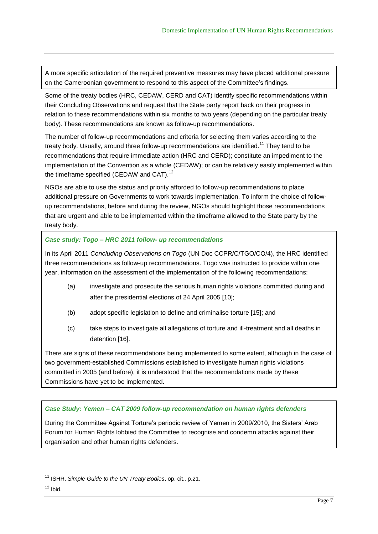A more specific articulation of the required preventive measures may have placed additional pressure on the Cameroonian government to respond to this aspect of the Committee's findings.

Some of the treaty bodies (HRC, CEDAW, CERD and CAT) identify specific recommendations within their Concluding Observations and request that the State party report back on their progress in relation to these recommendations within six months to two years (depending on the particular treaty body). These recommendations are known as follow-up recommendations.

The number of follow-up recommendations and criteria for selecting them varies according to the treaty body. Usually, around three follow-up recommendations are identified.<sup>11</sup> They tend to be recommendations that require immediate action (HRC and CERD); constitute an impediment to the implementation of the Convention as a whole (CEDAW); or can be relatively easily implemented within the timeframe specified (CEDAW and CAT).<sup>12</sup>

NGOs are able to use the status and priority afforded to follow-up recommendations to place additional pressure on Governments to work towards implementation. To inform the choice of followup recommendations, before and during the review, NGOs should highlight those recommendations that are urgent and able to be implemented within the timeframe allowed to the State party by the treaty body.

#### *Case study: Togo – HRC 2011 follow- up recommendations*

In its April 2011 *Concluding Observations on Togo* (UN Doc CCPR/C/TGO/CO/4), the HRC identified three recommendations as follow-up recommendations. Togo was instructed to provide within one year, information on the assessment of the implementation of the following recommendations:

- (a) investigate and prosecute the serious human rights violations committed during and after the presidential elections of 24 April 2005 [10];
- (b) adopt specific legislation to define and criminalise torture [15]; and
- (c) take steps to investigate all allegations of torture and ill-treatment and all deaths in detention [16].

There are signs of these recommendations being implemented to some extent, although in the case of two government-established Commissions established to investigate human rights violations committed in 2005 (and before), it is understood that the recommendations made by these Commissions have yet to be implemented.

#### *Case Study: Yemen – CAT 2009 follow-up recommendation on human rights defenders*

During the Committee Against Torture's periodic review of Yemen in 2009/2010, the Sisters' Arab Forum for Human Rights lobbied the Committee to recognise and condemn attacks against their organisation and other human rights defenders.

<sup>11</sup> ISHR, *Simple Guide to the UN Treaty Bodies*, op. cit., p.21.

 $12$  lbid.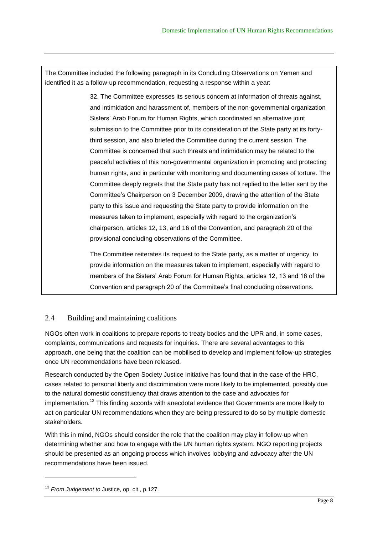The Committee included the following paragraph in its Concluding Observations on Yemen and identified it as a follow-up recommendation, requesting a response within a year:

> 32. The Committee expresses its serious concern at information of threats against, and intimidation and harassment of, members of the non-governmental organization Sisters' Arab Forum for Human Rights, which coordinated an alternative joint submission to the Committee prior to its consideration of the State party at its fortythird session, and also briefed the Committee during the current session. The Committee is concerned that such threats and intimidation may be related to the peaceful activities of this non-governmental organization in promoting and protecting human rights, and in particular with monitoring and documenting cases of torture. The Committee deeply regrets that the State party has not replied to the letter sent by the Committee's Chairperson on 3 December 2009, drawing the attention of the State party to this issue and requesting the State party to provide information on the measures taken to implement, especially with regard to the organization's chairperson, articles 12, 13, and 16 of the Convention, and paragraph 20 of the provisional concluding observations of the Committee.

The Committee reiterates its request to the State party, as a matter of urgency, to provide information on the measures taken to implement, especially with regard to members of the Sisters' Arab Forum for Human Rights, articles 12, 13 and 16 of the Convention and paragraph 20 of the Committee's final concluding observations.

### 2.4 Building and maintaining coalitions

NGOs often work in coalitions to prepare reports to treaty bodies and the UPR and, in some cases, complaints, communications and requests for inquiries. There are several advantages to this approach, one being that the coalition can be mobilised to develop and implement follow-up strategies once UN recommendations have been released.

Research conducted by the Open Society Justice Initiative has found that in the case of the HRC, cases related to personal liberty and discrimination were more likely to be implemented, possibly due to the natural domestic constituency that draws attention to the case and advocates for implementation.<sup>13</sup> This finding accords with anecdotal evidence that Governments are more likely to act on particular UN recommendations when they are being pressured to do so by multiple domestic stakeholders.

With this in mind, NGOs should consider the role that the coalition may play in follow-up when determining whether and how to engage with the UN human rights system. NGO reporting projects should be presented as an ongoing process which involves lobbying and advocacy after the UN recommendations have been issued.

<sup>13</sup> *From Judgement to* Justice, op. cit., p.127.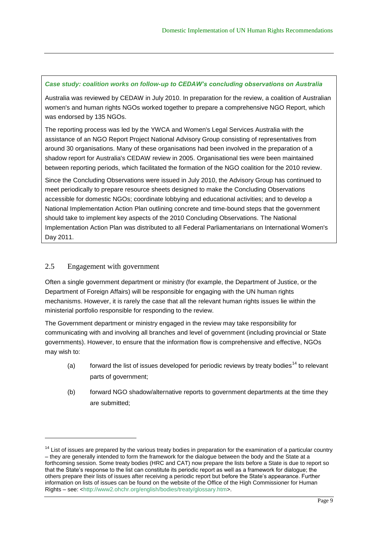#### *Case study: coalition works on follow-up to CEDAW's concluding observations on Australia*

Australia was reviewed by CEDAW in July 2010. In preparation for the review, a coalition of Australian women's and human rights NGOs worked together to prepare a comprehensive NGO Report, which was endorsed by 135 NGOs.

The reporting process was led by the YWCA and Women's Legal Services Australia with the assistance of an NGO Report Project National Advisory Group consisting of representatives from around 30 organisations. Many of these organisations had been involved in the preparation of a shadow report for Australia's CEDAW review in 2005. Organisational ties were been maintained between reporting periods, which facilitated the formation of the NGO coalition for the 2010 review.

Since the Concluding Observations were issued in July 2010, the Advisory Group has continued to meet periodically to prepare resource sheets designed to make the Concluding Observations accessible for domestic NGOs; coordinate lobbying and educational activities; and to develop a National Implementation Action Plan outlining concrete and time-bound steps that the government should take to implement key aspects of the 2010 Concluding Observations. The National Implementation Action Plan was distributed to all Federal Parliamentarians on International Women's Day 2011.

#### 2.5 Engagement with government

l

Often a single government department or ministry (for example, the Department of Justice, or the Department of Foreign Affairs) will be responsible for engaging with the UN human rights mechanisms. However, it is rarely the case that all the relevant human rights issues lie within the ministerial portfolio responsible for responding to the review.

The Government department or ministry engaged in the review may take responsibility for communicating with and involving all branches and level of government (including provincial or State governments). However, to ensure that the information flow is comprehensive and effective, NGOs may wish to:

- (a) forward the list of issues developed for periodic reviews by treaty bodies<sup>14</sup> to relevant parts of government;
- (b) forward NGO shadow/alternative reports to government departments at the time they are submitted;

<sup>&</sup>lt;sup>14</sup> List of issues are prepared by the various treaty bodies in preparation for the examination of a particular country – they are generally intended to form the framework for the dialogue between the body and the State at a forthcoming session. Some treaty bodies (HRC and CAT) now prepare the lists before a State is due to report so that the State's response to the list can constitute its periodic report as well as a framework for dialogue; the others prepare their lists of issues after receiving a periodic report but before the State's appearance. Further information on lists of issues can be found on the website of the Office of the High Commissioner for Human Rights – see: [<http://www2.ohchr.org/english/bodies/treaty/glossary.htm>](http://www2.ohchr.org/english/bodies/treaty/glossary.htm).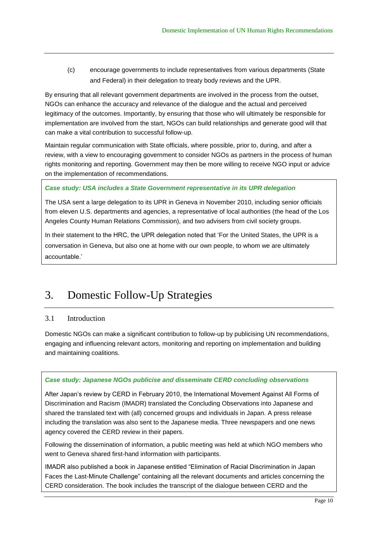(c) encourage governments to include representatives from various departments (State and Federal) in their delegation to treaty body reviews and the UPR.

By ensuring that all relevant government departments are involved in the process from the outset, NGOs can enhance the accuracy and relevance of the dialogue and the actual and perceived legitimacy of the outcomes. Importantly, by ensuring that those who will ultimately be responsible for implementation are involved from the start, NGOs can build relationships and generate good will that can make a vital contribution to successful follow-up.

Maintain regular communication with State officials, where possible, prior to, during, and after a review, with a view to encouraging government to consider NGOs as partners in the process of human rights monitoring and reporting. Government may then be more willing to receive NGO input or advice on the implementation of recommendations.

#### *Case study: USA includes a State Government representative in its UPR delegation*

The USA sent a large delegation to its UPR in Geneva in November 2010, including senior officials from eleven U.S. departments and agencies, a representative of local authorities (the head of the Los Angeles County Human Relations Commission), and two advisers from civil society groups.

In their statement to the HRC, the UPR delegation noted that 'For the United States, the UPR is a conversation in Geneva, but also one at home with our own people, to whom we are ultimately accountable.'

## 3. Domestic Follow-Up Strategies

#### 3.1 Introduction

Domestic NGOs can make a significant contribution to follow-up by publicising UN recommendations, engaging and influencing relevant actors, monitoring and reporting on implementation and building and maintaining coalitions.

#### *Case study: Japanese NGOs publicise and disseminate CERD concluding observations*

After Japan's review by CERD in February 2010, the International Movement Against All Forms of Discrimination and Racism (IMADR) translated the Concluding Observations into Japanese and shared the translated text with (all) concerned groups and individuals in Japan. A press release including the translation was also sent to the Japanese media. Three newspapers and one news agency covered the CERD review in their papers.

Following the dissemination of information, a public meeting was held at which NGO members who went to Geneva shared first-hand information with participants.

IMADR also published a book in Japanese entitled "Elimination of Racial Discrimination in Japan Faces the Last-Minute Challenge" containing all the relevant documents and articles concerning the CERD consideration. The book includes the transcript of the dialogue between CERD and the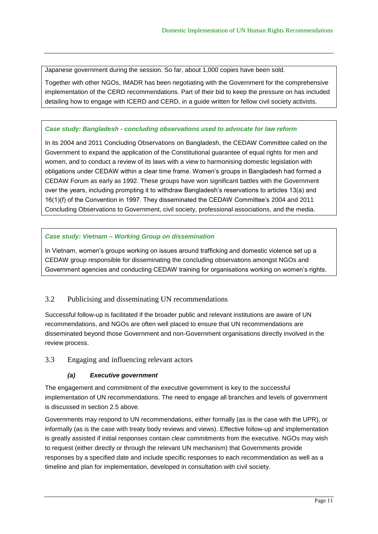Japanese government during the session. So far, about 1,000 copies have been sold.

Together with other NGOs, IMADR has been negotiating with the Government for the comprehensive implementation of the CERD recommendations. Part of their bid to keep the pressure on has included detailing how to engage with ICERD and CERD, in a guide written for fellow civil society activists.

#### *Case study: Bangladesh - concluding observations used to advocate for law reform*

In its 2004 and 2011 Concluding Observations on Bangladesh, the CEDAW Committee called on the Government to expand the application of the Constitutional guarantee of equal rights for men and women, and to conduct a review of its laws with a view to harmonising domestic legislation with obligations under CEDAW within a clear time frame. Women's groups in Bangladesh had formed a CEDAW Forum as early as 1992. These groups have won significant battles with the Government over the years, including prompting it to withdraw Bangladesh's reservations to articles 13(a) and 16(1)(f) of the Convention in 1997. They disseminated the CEDAW Committee's 2004 and 2011 Concluding Observations to Government, civil society, professional associations, and the media.

#### *Case study: Vietnam – Working Group on dissemination*

In Vietnam, women's groups working on issues around trafficking and domestic violence set up a CEDAW group responsible for disseminating the concluding observations amongst NGOs and Government agencies and conducting CEDAW training for organisations working on women's rights.

#### 3.2 Publicising and disseminating UN recommendations

Successful follow-up is facilitated if the broader public and relevant institutions are aware of UN recommendations, and NGOs are often well placed to ensure that UN recommendations are disseminated beyond those Government and non-Government organisations directly involved in the review process.

3.3 Engaging and influencing relevant actors

#### *(a) Executive government*

The engagement and commitment of the executive government is key to the successful implementation of UN recommendations. The need to engage all branches and levels of government is discussed in section 2.5 above.

Governments may respond to UN recommendations, either formally (as is the case with the UPR), or informally (as is the case with treaty body reviews and views). Effective follow-up and implementation is greatly assisted if initial responses contain clear commitments from the executive. NGOs may wish to request (either directly or through the relevant UN mechanism) that Governments provide responses by a specified date and include specific responses to each recommendation as well as a timeline and plan for implementation, developed in consultation with civil society.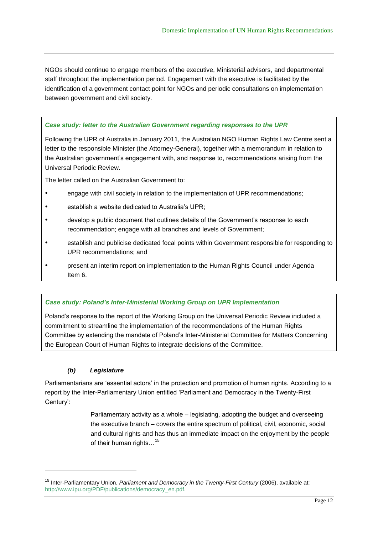NGOs should continue to engage members of the executive, Ministerial advisors, and departmental staff throughout the implementation period. Engagement with the executive is facilitated by the identification of a government contact point for NGOs and periodic consultations on implementation between government and civil society.

#### *Case study: letter to the Australian Government regarding responses to the UPR*

Following the UPR of Australia in January 2011, the Australian NGO Human Rights Law Centre sent a letter to the responsible Minister (the Attorney-General), together with a memorandum in relation to the Australian government's engagement with, and response to, recommendations arising from the Universal Periodic Review.

The letter called on the Australian Government to:

- engage with civil society in relation to the implementation of UPR recommendations;
- establish a website dedicated to Australia's UPR;
- develop a public document that outlines details of the Government's response to each recommendation; engage with all branches and levels of Government;
- establish and publicise dedicated focal points within Government responsible for responding to UPR recommendations; and
- present an interim report on implementation to the Human Rights Council under Agenda Item 6.

#### *Case study: Poland's Inter-Ministerial Working Group on UPR Implementation*

Poland's response to the report of the Working Group on the Universal Periodic Review included a commitment to streamline the implementation of the recommendations of the Human Rights Committee by extending the mandate of Poland's Inter-Ministerial Committee for Matters Concerning the European Court of Human Rights to integrate decisions of the Committee.

#### *(b) Legislature*

l

Parliamentarians are 'essential actors' in the protection and promotion of human rights. According to a report by the Inter-Parliamentary Union entitled 'Parliament and Democracy in the Twenty-First Century':

> Parliamentary activity as a whole – legislating, adopting the budget and overseeing the executive branch – covers the entire spectrum of political, civil, economic, social and cultural rights and has thus an immediate impact on the enjoyment by the people of their human rights...<sup>15</sup>

<sup>15</sup> Inter-Parliamentary Union, *Parliament and Democracy in the Twenty-First Century* (2006), available at: [http://www.ipu.org/PDF/publications/democracy\\_en.pdf.](http://www.ipu.org/PDF/publications/democracy_en.pdf)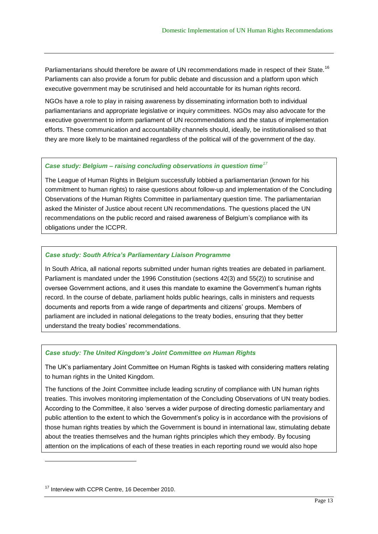Parliamentarians should therefore be aware of UN recommendations made in respect of their State.<sup>16</sup> Parliaments can also provide a forum for public debate and discussion and a platform upon which executive government may be scrutinised and held accountable for its human rights record.

NGOs have a role to play in raising awareness by disseminating information both to individual parliamentarians and appropriate legislative or inquiry committees. NGOs may also advocate for the executive government to inform parliament of UN recommendations and the status of implementation efforts. These communication and accountability channels should, ideally, be institutionalised so that they are more likely to be maintained regardless of the political will of the government of the day.

#### *Case study: Belgium – raising concluding observations in question time<sup>17</sup>*

The League of Human Rights in Belgium successfully lobbied a parliamentarian (known for his commitment to human rights) to raise questions about follow-up and implementation of the Concluding Observations of the Human Rights Committee in parliamentary question time. The parliamentarian asked the Minister of Justice about recent UN recommendations. The questions placed the UN recommendations on the public record and raised awareness of Belgium's compliance with its obligations under the ICCPR.

#### *Case study: South Africa's Parliamentary Liaison Programme*

In South Africa, all national reports submitted under human rights treaties are debated in parliament. Parliament is mandated under the 1996 Constitution (sections 42(3) and 55(2)) to scrutinise and oversee Government actions, and it uses this mandate to examine the Government's human rights record. In the course of debate, parliament holds public hearings, calls in ministers and requests documents and reports from a wide range of departments and citizens' groups. Members of parliament are included in national delegations to the treaty bodies, ensuring that they better understand the treaty bodies' recommendations.

#### *Case study: The United Kingdom's Joint Committee on Human Rights*

The UK's parliamentary Joint Committee on Human Rights is tasked with considering matters relating to human rights in the United Kingdom.

The functions of the Joint Committee include leading scrutiny of compliance with UN human rights treaties. This involves monitoring implementation of the Concluding Observations of UN treaty bodies. According to the Committee, it also 'serves a wider purpose of directing domestic parliamentary and public attention to the extent to which the Government's policy is in accordance with the provisions of those human rights treaties by which the Government is bound in international law, stimulating debate about the treaties themselves and the human rights principles which they embody. By focusing attention on the implications of each of these treaties in each reporting round we would also hope

<sup>&</sup>lt;sup>17</sup> Interview with CCPR Centre, 16 December 2010.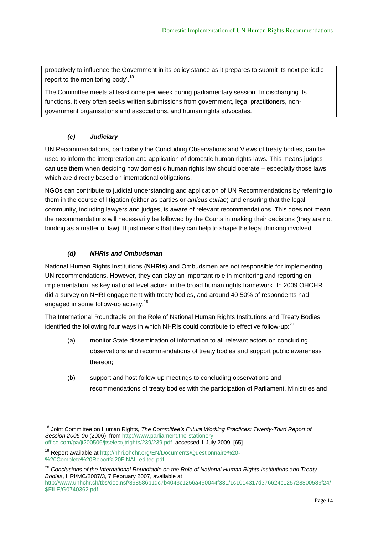proactively to influence the Government in its policy stance as it prepares to submit its next periodic report to the monitoring body'.<sup>18</sup>

The Committee meets at least once per week during parliamentary session. In discharging its functions, it very often seeks written submissions from government, legal practitioners, nongovernment organisations and associations, and human rights advocates.

#### *(c) Judiciary*

UN Recommendations, particularly the Concluding Observations and Views of treaty bodies, can be used to inform the interpretation and application of domestic human rights laws. This means judges can use them when deciding how domestic human rights law should operate – especially those laws which are directly based on international obligations.

NGOs can contribute to judicial understanding and application of UN Recommendations by referring to them in the course of litigation (either as parties or *amicus curiae*) and ensuring that the legal community, including lawyers and judges, is aware of relevant recommendations. This does not mean the recommendations will necessarily be followed by the Courts in making their decisions (they are not binding as a matter of law). It just means that they can help to shape the legal thinking involved.

#### *(d) NHRIs and Ombudsman*

l

National Human Rights Institutions (**NHRIs**) and Ombudsmen are not responsible for implementing UN recommendations. However, they can play an important role in monitoring and reporting on implementation, as key national level actors in the broad human rights framework. In 2009 OHCHR did a survey on NHRI engagement with treaty bodies, and around 40-50% of respondents had engaged in some follow-up activity.<sup>19</sup>

The International Roundtable on the Role of National Human Rights Institutions and Treaty Bodies identified the following four ways in which NHRIs could contribute to effective follow-up:<sup>20</sup>

- (a) monitor State dissemination of information to all relevant actors on concluding observations and recommendations of treaty bodies and support public awareness thereon;
- (b) support and host follow-up meetings to concluding observations and recommendations of treaty bodies with the participation of Parliament, Ministries and

<sup>18</sup> Joint Committee on Human Rights, *The Committee's Future Working Practices: Twenty-Third Report of Session 2005-06* (2006), from [http://www.parliament.the-stationery](http://www.parliament.the-stationery-office.com/pa/jt200506/jtselect/jtrights/239/239.pdf)[office.com/pa/jt200506/jtselect/jtrights/239/239.pdf,](http://www.parliament.the-stationery-office.com/pa/jt200506/jtselect/jtrights/239/239.pdf) accessed 1 July 2009, [65].

<sup>19</sup> Report available a[t http://nhri.ohchr.org/EN/Documents/Questionnaire%20-](http://nhri.ohchr.org/EN/Documents/Questionnaire%20-%20Complete%20Report%20FINAL-edited.pdf) [%20Complete%20Report%20FINAL-edited.pdf.](http://nhri.ohchr.org/EN/Documents/Questionnaire%20-%20Complete%20Report%20FINAL-edited.pdf)

<sup>20</sup> *Conclusions of the International Roundtable on the Role of National Human Rights Institutions and Treaty Bodies*, HRI/MC/2007/3, 7 February 2007, available at

[http://www.unhchr.ch/tbs/doc.nsf/898586b1dc7b4043c1256a450044f331/1c1014317d376624c125728800586f24/](http://www.unhchr.ch/tbs/doc.nsf/898586b1dc7b4043c1256a450044f331/1c1014317d376624c125728800586f24/$FILE/G0740362.pdf) [\\$FILE/G0740362.pdf.](http://www.unhchr.ch/tbs/doc.nsf/898586b1dc7b4043c1256a450044f331/1c1014317d376624c125728800586f24/$FILE/G0740362.pdf)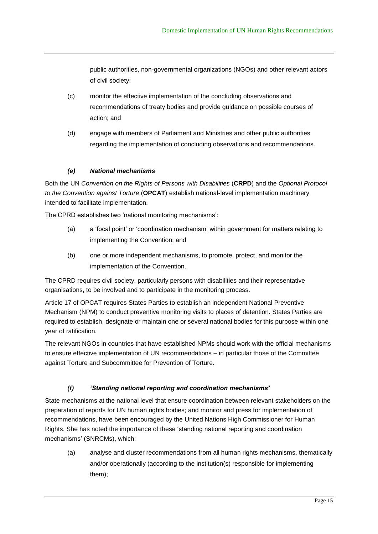public authorities, non-governmental organizations (NGOs) and other relevant actors of civil society;

- (c) monitor the effective implementation of the concluding observations and recommendations of treaty bodies and provide guidance on possible courses of action; and
- (d) engage with members of Parliament and Ministries and other public authorities regarding the implementation of concluding observations and recommendations.

#### *(e) National mechanisms*

Both the UN *Convention on the Rights of Persons with Disabilities* (**CRPD**) and the *Optional Protocol to the Convention against Torture* (**OPCAT**) establish national-level implementation machinery intended to facilitate implementation.

The CPRD establishes two 'national monitoring mechanisms':

- (a) a ‗focal point' or ‗coordination mechanism' within government for matters relating to implementing the Convention; and
- (b) one or more independent mechanisms, to promote, protect, and monitor the implementation of the Convention.

The CPRD requires civil society, particularly persons with disabilities and their representative organisations, to be involved and to participate in the monitoring process.

Article 17 of OPCAT requires States Parties to establish an independent National Preventive Mechanism (NPM) to conduct preventive monitoring visits to places of detention. States Parties are required to establish, designate or maintain one or several national bodies for this purpose within one year of ratification.

The relevant NGOs in countries that have established NPMs should work with the official mechanisms to ensure effective implementation of UN recommendations – in particular those of the Committee against Torture and Subcommittee for Prevention of Torture.

#### *(f) 'Standing national reporting and coordination mechanisms'*

State mechanisms at the national level that ensure coordination between relevant stakeholders on the preparation of reports for UN human rights bodies; and monitor and press for implementation of recommendations, have been encouraged by the United Nations High Commissioner for Human Rights. She has noted the importance of these ‗standing national reporting and coordination mechanisms' (SNRCMs), which:

(a) analyse and cluster recommendations from all human rights mechanisms, thematically and/or operationally (according to the institution(s) responsible for implementing them);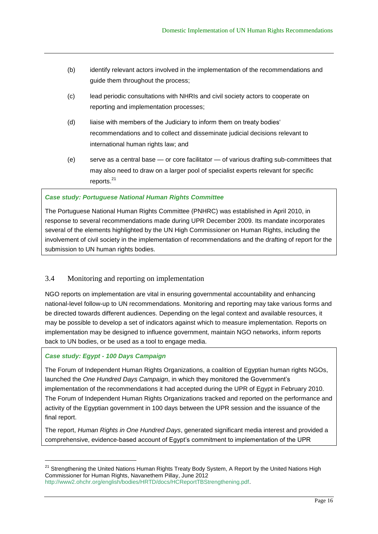- (b) identify relevant actors involved in the implementation of the recommendations and guide them throughout the process;
- (c) lead periodic consultations with NHRIs and civil society actors to cooperate on reporting and implementation processes;
- (d) liaise with members of the Judiciary to inform them on treaty bodies recommendations and to collect and disseminate judicial decisions relevant to international human rights law; and
- (e) serve as a central base or core facilitator of various drafting sub-committees that may also need to draw on a larger pool of specialist experts relevant for specific reports. 21

#### *Case study: Portuguese National Human Rights Committee*

The Portuguese National Human Rights Committee (PNHRC) was established in April 2010, in response to several recommendations made during UPR December 2009. Its mandate incorporates several of the elements highlighted by the UN High Commissioner on Human Rights, including the involvement of civil society in the implementation of recommendations and the drafting of report for the submission to UN human rights bodies.

#### 3.4 Monitoring and reporting on implementation

NGO reports on implementation are vital in ensuring governmental accountability and enhancing national-level follow-up to UN recommendations. Monitoring and reporting may take various forms and be directed towards different audiences. Depending on the legal context and available resources, it may be possible to develop a set of indicators against which to measure implementation. Reports on implementation may be designed to influence government, maintain NGO networks, inform reports back to UN bodies, or be used as a tool to engage media.

#### *Case study: Egypt - 100 Days Campaign*

l

The Forum of Independent Human Rights Organizations, a coalition of Egyptian human rights NGOs, launched the *One Hundred Days Campaign*, in which they monitored the Government's implementation of the recommendations it had accepted during the UPR of Egypt in February 2010. The Forum of Independent Human Rights Organizations tracked and reported on the performance and activity of the Egyptian government in 100 days between the UPR session and the issuance of the final report.

The report, *Human Rights in One Hundred Days*, generated significant media interest and provided a comprehensive, evidence-based account of Egypt's commitment to implementation of the UPR

<sup>&</sup>lt;sup>21</sup> Strengthening the United Nations Human Rights Treaty Body System, A Report by the United Nations High Commissioner for Human Rights, Navanethem Pillay, June 2012 [http://www2.ohchr.org/english/bodies/HRTD/docs/HCReportTBStrengthening.pdf.](http://www2.ohchr.org/english/bodies/HRTD/docs/HCReportTBStrengthening.pdf)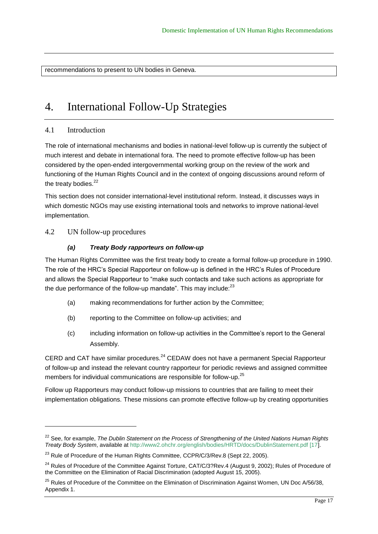recommendations to present to UN bodies in Geneva.

# 4. International Follow-Up Strategies

#### 4.1 Introduction

The role of international mechanisms and bodies in national-level follow-up is currently the subject of much interest and debate in international fora. The need to promote effective follow-up has been considered by the open-ended intergovernmental working group on the review of the work and functioning of the Human Rights Council and in the context of ongoing discussions around reform of the treaty bodies. $22$ 

This section does not consider international-level institutional reform. Instead, it discusses ways in which domestic NGOs may use existing international tools and networks to improve national-level implementation.

4.2 UN follow-up procedures

l

#### *(a) Treaty Body rapporteurs on follow-up*

The Human Rights Committee was the first treaty body to create a formal follow-up procedure in 1990. The role of the HRC's Special Rapporteur on follow-up is defined in the HRC's Rules of Procedure and allows the Special Rapporteur to "make such contacts and take such actions as appropriate for the due performance of the follow-up mandate". This may include: $^{23}$ 

- (a) making recommendations for further action by the Committee;
- (b) reporting to the Committee on follow-up activities; and
- (c) including information on follow-up activities in the Committee's report to the General Assembly.

CERD and CAT have similar procedures.<sup>24</sup> CEDAW does not have a permanent Special Rapporteur of follow-up and instead the relevant country rapporteur for periodic reviews and assigned committee members for individual communications are responsible for follow-up.<sup>25</sup>

Follow up Rapporteurs may conduct follow-up missions to countries that are failing to meet their implementation obligations. These missions can promote effective follow-up by creating opportunities

<sup>22</sup> See, for example, *The Dublin Statement on the Process of Strengthening of the United Nations Human Rights Treaty Body System*, available at [http://www2.ohchr.org/english/bodies/HRTD/docs/DublinStatement.pdf \[17\]](http://www2.ohchr.org/english/bodies/HRTD/docs/DublinStatement.pdf%20%5b17).

<sup>&</sup>lt;sup>23</sup> Rule of Procedure of the Human Rights Committee, CCPR/C/3/Rev.8 (Sept 22, 2005).

<sup>&</sup>lt;sup>24</sup> Rules of Procedure of the Committee Against Torture, CAT/C/3?Rev.4 (August 9, 2002); Rules of Procedure of the Committee on the Elimination of Racial Discrimination (adopted August 15, 2005).

<sup>&</sup>lt;sup>25</sup> Rules of Procedure of the Committee on the Elimination of Discrimination Against Women, UN Doc A/56/38, Appendix 1.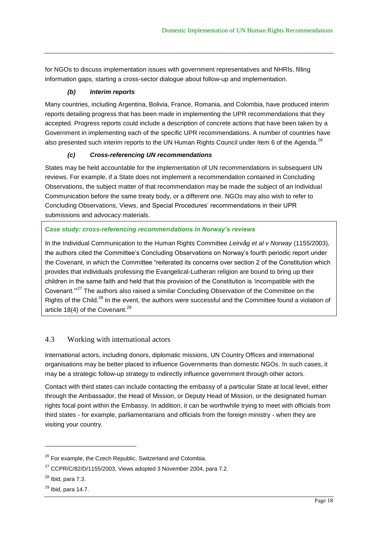for NGOs to discuss implementation issues with government representatives and NHRIs, filling information gaps, starting a cross-sector dialogue about follow-up and implementation.

#### *(b) Interim reports*

Many countries, including Argentina, Bolivia, France, Romania, and Colombia, have produced interim reports detailing progress that has been made in implementing the UPR recommendations that they accepted. Progress reports could include a description of concrete actions that have been taken by a Government in implementing each of the specific UPR recommendations. A number of countries have also presented such interim reports to the UN Human Rights Council under Item 6 of the Agenda.<sup>26</sup>

#### *(c) Cross-referencing UN recommendations*

States may be held accountable for the implementation of UN recommendations in subsequent UN reviews. For example, if a State does not implement a recommendation contained in Concluding Observations, the subject matter of that recommendation may be made the subject of an Individual Communication before the same treaty body, or a different one. NGOs may also wish to refer to Concluding Observations, Views, and Special Procedures' recommendations in their UPR submissions and advocacy materials.

#### *Case study: cross-referencing recommendations in Norway's reviews*

In the Individual Communication to the Human Rights Committee *Leirvåg et al v Norway* (1155/2003), the authors cited the Committee's Concluding Observations on Norway's fourth periodic report under the Covenant, in which the Committee "reiterated its concerns over section 2 of the Constitution which provides that individuals professing the Evangelical-Lutheran religion are bound to bring up their children in the same faith and held that this provision of the Constitution is 'incompatible with the Covenant."<sup>27</sup> The authors also raised a similar Concluding Observation of the Committee on the Rights of the Child.<sup>28</sup> In the event, the authors were successful and the Committee found a violation of article 18(4) of the Covenant.<sup>29</sup>

#### 4.3 Working with international actors

International actors, including donors, diplomatic missions, UN Country Offices and international organisations may be better placed to influence Governments than domestic NGOs. In such cases, it may be a strategic follow-up strategy to indirectly influence government through other actors.

Contact with third states can include contacting the embassy of a particular State at local level, either through the Ambassador, the Head of Mission, or Deputy Head of Mission, or the designated human rights focal point within the Embassy. In addition, it can be worthwhile trying to meet with officials from third states - for example, parliamentarians and officials from the foreign ministry - when they are visiting your country.

<sup>&</sup>lt;sup>26</sup> For example, the Czech Republic, Switzerland and Colombia.

 $27$  CCPR/C/82/D/1155/2003, Views adopted 3 November 2004, para 7.2.

 $28$  Ibid, para 7.3.

 $29$  Ibid, para 14.7.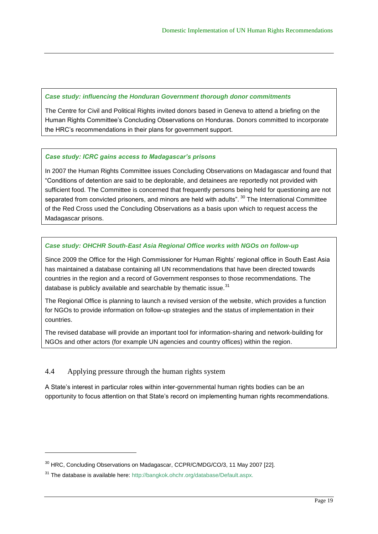#### *Case study: influencing the Honduran Government thorough donor commitments*

The Centre for Civil and Political Rights invited donors based in Geneva to attend a briefing on the Human Rights Committee's Concluding Observations on Honduras. Donors committed to incorporate the HRC's recommendations in their plans for government support.

#### *Case study: ICRC gains access to Madagascar's prisons*

In 2007 the Human Rights Committee issues Concluding Observations on Madagascar and found that ―Conditions of detention are said to be deplorable, and detainees are reportedly not provided with sufficient food. The Committee is concerned that frequently persons being held for questioning are not separated from convicted prisoners, and minors are held with adults". <sup>30</sup> The International Committee of the Red Cross used the Concluding Observations as a basis upon which to request access the Madagascar prisons.

#### *Case study: OHCHR South-East Asia Regional Office works with NGOs on follow-up*

Since 2009 the Office for the High Commissioner for Human Rights' regional office in South East Asia has maintained a database containing all UN recommendations that have been directed towards countries in the region and a record of Government responses to those recommendations. The database is publicly available and searchable by thematic issue.<sup>31</sup>

The Regional Office is planning to launch a revised version of the website, which provides a function for NGOs to provide information on follow-up strategies and the status of implementation in their countries.

The revised database will provide an important tool for information-sharing and network-building for NGOs and other actors (for example UN agencies and country offices) within the region.

#### 4.4 Applying pressure through the human rights system

l

A State's interest in particular roles within inter-governmental human rights bodies can be an opportunity to focus attention on that State's record on implementing human rights recommendations.

<sup>&</sup>lt;sup>30</sup> HRC, Concluding Observations on Madagascar, CCPR/C/MDG/CO/3, 11 May 2007 [22].

<sup>&</sup>lt;sup>31</sup> The database is available here: http://bangkok.ohchr.org/database/Default.aspx.